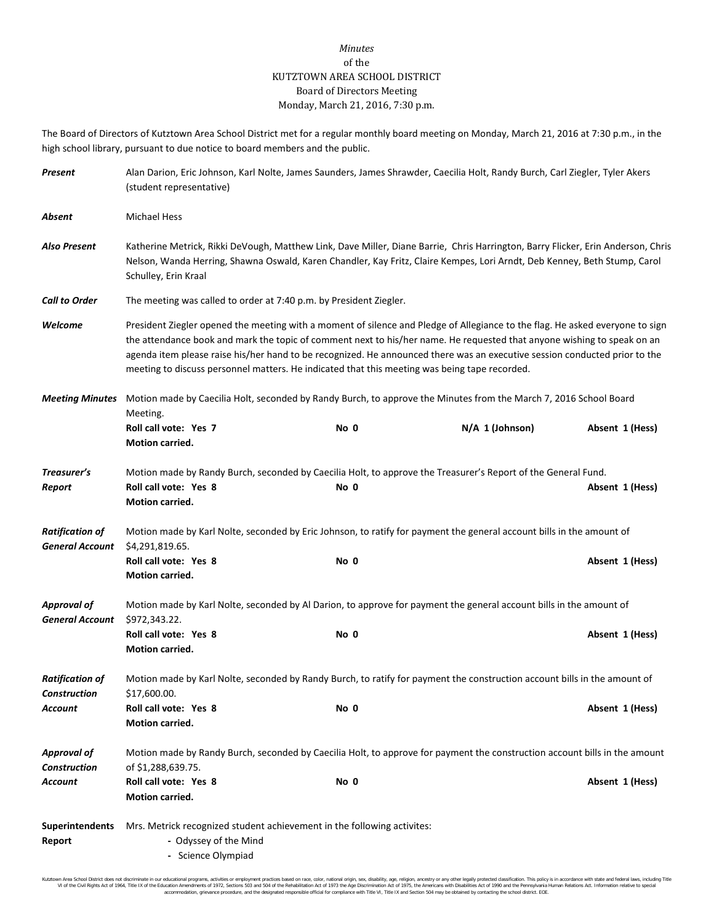## *Minutes* of the KUTZTOWN AREA SCHOOL DISTRICT Board of Directors Meeting Monday, March 21, 2016, 7:30 p.m.

The Board of Directors of Kutztown Area School District met for a regular monthly board meeting on Monday, March 21, 2016 at 7:30 p.m., in the high school library, pursuant to due notice to board members and the public.

| Present                                          | Alan Darion, Eric Johnson, Karl Nolte, James Saunders, James Shrawder, Caecilia Holt, Randy Burch, Carl Ziegler, Tyler Akers<br>(student representative)                                                                                                                                                                                                                                                                                                                                |      |                 |                 |  |
|--------------------------------------------------|-----------------------------------------------------------------------------------------------------------------------------------------------------------------------------------------------------------------------------------------------------------------------------------------------------------------------------------------------------------------------------------------------------------------------------------------------------------------------------------------|------|-----------------|-----------------|--|
| Absent                                           | <b>Michael Hess</b>                                                                                                                                                                                                                                                                                                                                                                                                                                                                     |      |                 |                 |  |
| <b>Also Present</b>                              | Katherine Metrick, Rikki DeVough, Matthew Link, Dave Miller, Diane Barrie, Chris Harrington, Barry Flicker, Erin Anderson, Chris<br>Nelson, Wanda Herring, Shawna Oswald, Karen Chandler, Kay Fritz, Claire Kempes, Lori Arndt, Deb Kenney, Beth Stump, Carol<br>Schulley, Erin Kraal                                                                                                                                                                                                   |      |                 |                 |  |
| <b>Call to Order</b>                             | The meeting was called to order at 7:40 p.m. by President Ziegler.                                                                                                                                                                                                                                                                                                                                                                                                                      |      |                 |                 |  |
| Welcome                                          | President Ziegler opened the meeting with a moment of silence and Pledge of Allegiance to the flag. He asked everyone to sign<br>the attendance book and mark the topic of comment next to his/her name. He requested that anyone wishing to speak on an<br>agenda item please raise his/her hand to be recognized. He announced there was an executive session conducted prior to the<br>meeting to discuss personnel matters. He indicated that this meeting was being tape recorded. |      |                 |                 |  |
| <b>Meeting Minutes</b>                           | Motion made by Caecilia Holt, seconded by Randy Burch, to approve the Minutes from the March 7, 2016 School Board<br>Meeting.                                                                                                                                                                                                                                                                                                                                                           |      |                 |                 |  |
|                                                  | Roll call vote: Yes 7<br>Motion carried.                                                                                                                                                                                                                                                                                                                                                                                                                                                | No 0 | N/A 1 (Johnson) | Absent 1 (Hess) |  |
| Treasurer's<br>Report                            | Motion made by Randy Burch, seconded by Caecilia Holt, to approve the Treasurer's Report of the General Fund.<br>Roll call vote: Yes 8<br>Motion carried.                                                                                                                                                                                                                                                                                                                               | No 0 |                 | Absent 1 (Hess) |  |
| <b>Ratification of</b><br><b>General Account</b> | Motion made by Karl Nolte, seconded by Eric Johnson, to ratify for payment the general account bills in the amount of<br>\$4,291,819.65.                                                                                                                                                                                                                                                                                                                                                |      |                 |                 |  |
|                                                  | Roll call vote: Yes 8<br>Motion carried.                                                                                                                                                                                                                                                                                                                                                                                                                                                | No 0 |                 | Absent 1 (Hess) |  |
| <b>Approval of</b><br><b>General Account</b>     | Motion made by Karl Nolte, seconded by Al Darion, to approve for payment the general account bills in the amount of<br>\$972,343.22.                                                                                                                                                                                                                                                                                                                                                    |      |                 |                 |  |
|                                                  | Roll call vote: Yes 8<br>Motion carried.                                                                                                                                                                                                                                                                                                                                                                                                                                                | No 0 |                 | Absent 1 (Hess) |  |
| <b>Ratification of</b><br><b>Construction</b>    | Motion made by Karl Nolte, seconded by Randy Burch, to ratify for payment the construction account bills in the amount of<br>\$17,600.00.                                                                                                                                                                                                                                                                                                                                               |      |                 |                 |  |
| <b>Account</b>                                   | Roll call vote: Yes 8<br>Motion carried.                                                                                                                                                                                                                                                                                                                                                                                                                                                | No 0 |                 | Absent 1 (Hess) |  |
| <b>Approval of</b><br><b>Construction</b>        | Motion made by Randy Burch, seconded by Caecilia Holt, to approve for payment the construction account bills in the amount                                                                                                                                                                                                                                                                                                                                                              |      |                 |                 |  |
| Account                                          | of \$1,288,639.75.<br>Roll call vote: Yes 8<br>Motion carried.                                                                                                                                                                                                                                                                                                                                                                                                                          | No 0 |                 | Absent 1 (Hess) |  |
| <b>Superintendents</b><br>Report                 | Mrs. Metrick recognized student achievement in the following activites:<br>- Odyssey of the Mind<br>- Science Olympiad                                                                                                                                                                                                                                                                                                                                                                  |      |                 |                 |  |

Kutzlown Area School District does not discriminate in our oducational programs, activities or employment practices based on ractional origin, sex, disability, so, et also in the about a may be entered in the second of the accommodation, grievance procedure, and the designated responsible official for compliance with Title VI, Title IX and Section 504 may be obtained by contacting the school district. EOE.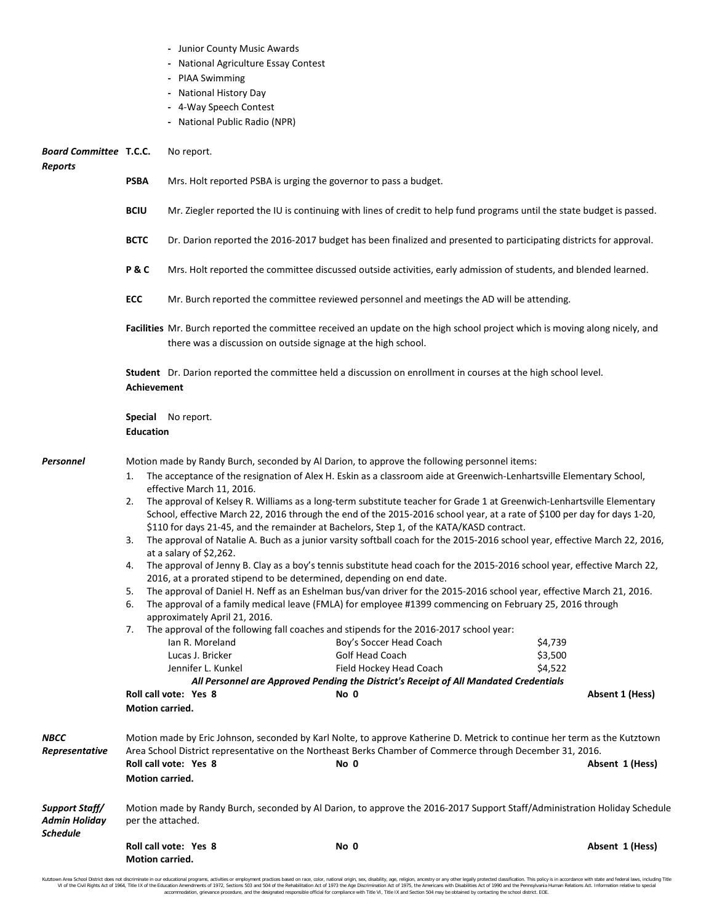|  |  |  |  | Junior County Music Awards |
|--|--|--|--|----------------------------|
|--|--|--|--|----------------------------|

- **-** National Agriculture Essay Contest
- **-** PIAA Swimming
- **-** National History Day
- **-** 4-Way Speech Contest
- **-** National Public Radio (NPR)

| <b>Board Committee T.C.C.</b><br><b>Reports</b> |                                                                                                                                      | No report.                                                                                                                                                                                                                                                                                                                                                                                                                                                                                                                                                                                                                                                                                                                                                                                                                                                                                                                                                                                                                                                                                                                                                                                                                                                                                                                                                                                                                                                                                                                                                                                                                         |                                                                                                                                                                                                                                                |                 |  |
|-------------------------------------------------|--------------------------------------------------------------------------------------------------------------------------------------|------------------------------------------------------------------------------------------------------------------------------------------------------------------------------------------------------------------------------------------------------------------------------------------------------------------------------------------------------------------------------------------------------------------------------------------------------------------------------------------------------------------------------------------------------------------------------------------------------------------------------------------------------------------------------------------------------------------------------------------------------------------------------------------------------------------------------------------------------------------------------------------------------------------------------------------------------------------------------------------------------------------------------------------------------------------------------------------------------------------------------------------------------------------------------------------------------------------------------------------------------------------------------------------------------------------------------------------------------------------------------------------------------------------------------------------------------------------------------------------------------------------------------------------------------------------------------------------------------------------------------------|------------------------------------------------------------------------------------------------------------------------------------------------------------------------------------------------------------------------------------------------|-----------------|--|
|                                                 | <b>PSBA</b>                                                                                                                          | Mrs. Holt reported PSBA is urging the governor to pass a budget.                                                                                                                                                                                                                                                                                                                                                                                                                                                                                                                                                                                                                                                                                                                                                                                                                                                                                                                                                                                                                                                                                                                                                                                                                                                                                                                                                                                                                                                                                                                                                                   |                                                                                                                                                                                                                                                |                 |  |
|                                                 | <b>BCIU</b>                                                                                                                          | Mr. Ziegler reported the IU is continuing with lines of credit to help fund programs until the state budget is passed.                                                                                                                                                                                                                                                                                                                                                                                                                                                                                                                                                                                                                                                                                                                                                                                                                                                                                                                                                                                                                                                                                                                                                                                                                                                                                                                                                                                                                                                                                                             |                                                                                                                                                                                                                                                |                 |  |
|                                                 | <b>BCTC</b>                                                                                                                          | Dr. Darion reported the 2016-2017 budget has been finalized and presented to participating districts for approval.                                                                                                                                                                                                                                                                                                                                                                                                                                                                                                                                                                                                                                                                                                                                                                                                                                                                                                                                                                                                                                                                                                                                                                                                                                                                                                                                                                                                                                                                                                                 |                                                                                                                                                                                                                                                |                 |  |
|                                                 | P&C                                                                                                                                  | Mrs. Holt reported the committee discussed outside activities, early admission of students, and blended learned.                                                                                                                                                                                                                                                                                                                                                                                                                                                                                                                                                                                                                                                                                                                                                                                                                                                                                                                                                                                                                                                                                                                                                                                                                                                                                                                                                                                                                                                                                                                   |                                                                                                                                                                                                                                                |                 |  |
|                                                 | ECC                                                                                                                                  | Mr. Burch reported the committee reviewed personnel and meetings the AD will be attending.                                                                                                                                                                                                                                                                                                                                                                                                                                                                                                                                                                                                                                                                                                                                                                                                                                                                                                                                                                                                                                                                                                                                                                                                                                                                                                                                                                                                                                                                                                                                         |                                                                                                                                                                                                                                                |                 |  |
|                                                 |                                                                                                                                      | there was a discussion on outside signage at the high school.                                                                                                                                                                                                                                                                                                                                                                                                                                                                                                                                                                                                                                                                                                                                                                                                                                                                                                                                                                                                                                                                                                                                                                                                                                                                                                                                                                                                                                                                                                                                                                      | Facilities Mr. Burch reported the committee received an update on the high school project which is moving along nicely, and                                                                                                                    |                 |  |
|                                                 | Student Dr. Darion reported the committee held a discussion on enrollment in courses at the high school level.<br><b>Achievement</b> |                                                                                                                                                                                                                                                                                                                                                                                                                                                                                                                                                                                                                                                                                                                                                                                                                                                                                                                                                                                                                                                                                                                                                                                                                                                                                                                                                                                                                                                                                                                                                                                                                                    |                                                                                                                                                                                                                                                |                 |  |
|                                                 | <b>Education</b>                                                                                                                     | <b>Special</b> No report.                                                                                                                                                                                                                                                                                                                                                                                                                                                                                                                                                                                                                                                                                                                                                                                                                                                                                                                                                                                                                                                                                                                                                                                                                                                                                                                                                                                                                                                                                                                                                                                                          |                                                                                                                                                                                                                                                |                 |  |
| Personnel                                       | 1.<br>2.<br>3.<br>4.<br>5.<br>6.<br>7.<br>Motion carried.                                                                            | Motion made by Randy Burch, seconded by Al Darion, to approve the following personnel items:<br>The acceptance of the resignation of Alex H. Eskin as a classroom aide at Greenwich-Lenhartsville Elementary School,<br>effective March 11, 2016.<br>The approval of Kelsey R. Williams as a long-term substitute teacher for Grade 1 at Greenwich-Lenhartsville Elementary<br>School, effective March 22, 2016 through the end of the 2015-2016 school year, at a rate of \$100 per day for days 1-20,<br>\$110 for days 21-45, and the remainder at Bachelors, Step 1, of the KATA/KASD contract.<br>The approval of Natalie A. Buch as a junior varsity softball coach for the 2015-2016 school year, effective March 22, 2016,<br>at a salary of \$2,262.<br>The approval of Jenny B. Clay as a boy's tennis substitute head coach for the 2015-2016 school year, effective March 22,<br>2016, at a prorated stipend to be determined, depending on end date.<br>The approval of Daniel H. Neff as an Eshelman bus/van driver for the 2015-2016 school year, effective March 21, 2016.<br>The approval of a family medical leave (FMLA) for employee #1399 commencing on February 25, 2016 through<br>approximately April 21, 2016.<br>The approval of the following fall coaches and stipends for the 2016-2017 school year:<br>Boy's Soccer Head Coach<br>\$4,739<br>lan R. Moreland<br>Lucas J. Bricker<br>Golf Head Coach<br>\$3,500<br>Jennifer L. Kunkel<br>\$4,522<br>Field Hockey Head Coach<br>All Personnel are Approved Pending the District's Receipt of All Mandated Credentials<br>No 0<br>Roll call vote: Yes 8 |                                                                                                                                                                                                                                                | Absent 1 (Hess) |  |
| NBCC<br>Representative                          | Motion carried.                                                                                                                      | Roll call vote: Yes 8                                                                                                                                                                                                                                                                                                                                                                                                                                                                                                                                                                                                                                                                                                                                                                                                                                                                                                                                                                                                                                                                                                                                                                                                                                                                                                                                                                                                                                                                                                                                                                                                              | Motion made by Eric Johnson, seconded by Karl Nolte, to approve Katherine D. Metrick to continue her term as the Kutztown<br>Area School District representative on the Northeast Berks Chamber of Commerce through December 31, 2016.<br>No 0 | Absent 1 (Hess) |  |
| Support Staff/<br><b>Admin Holiday</b>          | per the attached.                                                                                                                    |                                                                                                                                                                                                                                                                                                                                                                                                                                                                                                                                                                                                                                                                                                                                                                                                                                                                                                                                                                                                                                                                                                                                                                                                                                                                                                                                                                                                                                                                                                                                                                                                                                    | Motion made by Randy Burch, seconded by Al Darion, to approve the 2016-2017 Support Staff/Administration Holiday Schedule                                                                                                                      |                 |  |
| <b>Schedule</b>                                 | Motion carried.                                                                                                                      | Roll call vote: Yes 8                                                                                                                                                                                                                                                                                                                                                                                                                                                                                                                                                                                                                                                                                                                                                                                                                                                                                                                                                                                                                                                                                                                                                                                                                                                                                                                                                                                                                                                                                                                                                                                                              | No 0                                                                                                                                                                                                                                           | Absent 1 (Hess) |  |

Kutztown Area School District does not discriminate in our educational programs, activities or employment practices based on race, color, national origin, sex, disability, age, religion, ancestry or any other legally prot